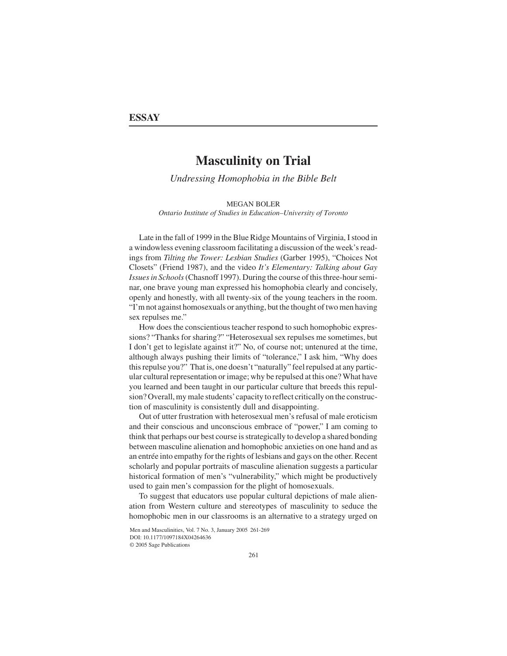# **Masculinity on Trial**

*Undressing Homophobia in the Bible Belt*

#### MEGAN BOLER

*Ontario Institute of Studies in Education–University of Toronto*

Late in the fall of 1999 in the Blue Ridge Mountains of Virginia, I stood in a windowless evening classroom facilitating a discussion of the week's readings from *Tilting the Tower: Lesbian Studies* (Garber 1995), "Choices Not Closets" (Friend 1987), and the video *It's Elementary: Talking about Gay Issues in Schools*(Chasnoff 1997). During the course of this three-hour seminar, one brave young man expressed his homophobia clearly and concisely, openly and honestly, with all twenty-six of the young teachers in the room. "I'm not against homosexuals or anything, but the thought of two men having sex repulses me."

How does the conscientious teacher respond to such homophobic expressions? "Thanks for sharing?" "Heterosexual sex repulses me sometimes, but I don't get to legislate against it?" No, of course not; untenured at the time, although always pushing their limits of "tolerance," I ask him, "Why does this repulse you?" That is, one doesn't "naturally" feel repulsed at any particular cultural representation or image; why be repulsed at this one? What have you learned and been taught in our particular culture that breeds this repulsion? Overall, my male students'capacity to reflect critically on the construction of masculinity is consistently dull and disappointing.

Out of utter frustration with heterosexual men's refusal of male eroticism and their conscious and unconscious embrace of "power," I am coming to think that perhaps our best course is strategically to develop a shared bonding between masculine alienation and homophobic anxieties on one hand and as an entrée into empathy for the rights of lesbians and gays on the other. Recent scholarly and popular portraits of masculine alienation suggests a particular historical formation of men's "vulnerability," which might be productively used to gain men's compassion for the plight of homosexuals.

To suggest that educators use popular cultural depictions of male alienation from Western culture and stereotypes of masculinity to seduce the homophobic men in our classrooms is an alternative to a strategy urged on

Men and Masculinities, Vol. 7 No. 3, January 2005 261-269 DOI: 10.1177/1097184X04264636 © 2005 Sage Publications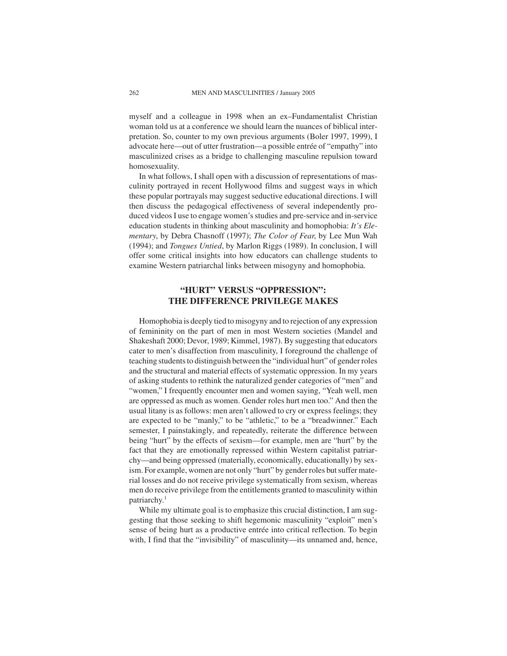myself and a colleague in 1998 when an ex–Fundamentalist Christian woman told us at a conference we should learn the nuances of biblical interpretation. So, counter to my own previous arguments (Boler 1997, 1999), I advocate here—out of utter frustration—a possible entrée of "empathy" into masculinized crises as a bridge to challenging masculine repulsion toward homosexuality.

In what follows, I shall open with a discussion of representations of masculinity portrayed in recent Hollywood films and suggest ways in which these popular portrayals may suggest seductive educational directions. I will then discuss the pedagogical effectiveness of several independently produced videos I use to engage women's studies and pre-service and in-service education students in thinking about masculinity and homophobia: *It's Elementary*, by Debra Chasnoff (1997); *The Color of Fear*, by Lee Mun Wah (1994); and *Tongues Untied*, by Marlon Riggs (1989). In conclusion, I will offer some critical insights into how educators can challenge students to examine Western patriarchal links between misogyny and homophobia.

### **"HURT" VERSUS "OPPRESSION": THE DIFFERENCE PRIVILEGE MAKES**

Homophobia is deeply tied to misogyny and to rejection of any expression of femininity on the part of men in most Western societies (Mandel and Shakeshaft 2000; Devor, 1989; Kimmel, 1987). By suggesting that educators cater to men's disaffection from masculinity, I foreground the challenge of teaching students to distinguish between the "individual hurt" of gender roles and the structural and material effects of systematic oppression. In my years of asking students to rethink the naturalized gender categories of "men" and "women," I frequently encounter men and women saying, "Yeah well, men are oppressed as much as women. Gender roles hurt men too." And then the usual litany is as follows: men aren't allowed to cry or express feelings; they are expected to be "manly," to be "athletic," to be a "breadwinner." Each semester, I painstakingly, and repeatedly, reiterate the difference between being "hurt" by the effects of sexism—for example, men are "hurt" by the fact that they are emotionally repressed within Western capitalist patriarchy—and being oppressed (materially, economically, educationally) by sexism. For example, women are not only "hurt" by gender roles but suffer material losses and do not receive privilege systematically from sexism, whereas men do receive privilege from the entitlements granted to masculinity within patriarchy.<sup>1</sup>

While my ultimate goal is to emphasize this crucial distinction, I am suggesting that those seeking to shift hegemonic masculinity "exploit" men's sense of being hurt as a productive entrée into critical reflection. To begin with, I find that the "invisibility" of masculinity—its unnamed and, hence,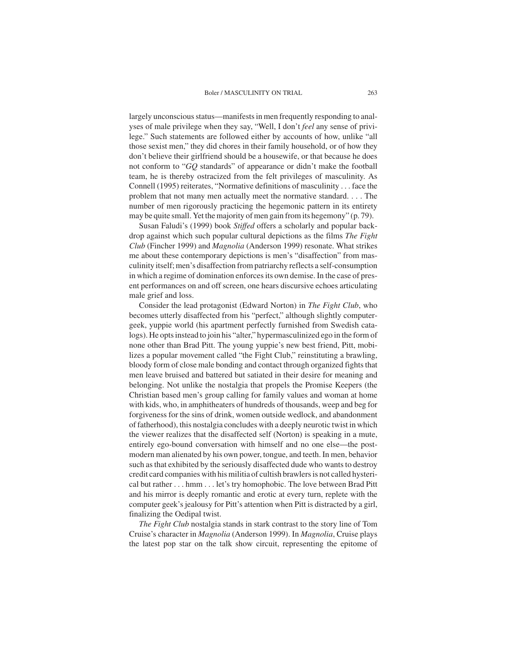largely unconscious status—manifests in men frequently responding to analyses of male privilege when they say, "Well, I don't *feel* any sense of privilege." Such statements are followed either by accounts of how, unlike "all those sexist men," they did chores in their family household, or of how they don't believe their girlfriend should be a housewife, or that because he does not conform to "*GQ* standards" of appearance or didn't make the football team, he is thereby ostracized from the felt privileges of masculinity. As Connell (1995) reiterates, "Normative definitions of masculinity . . . face the problem that not many men actually meet the normative standard. . . . The number of men rigorously practicing the hegemonic pattern in its entirety may be quite small. Yet the majority of men gain from its hegemony" (p. 79).

Susan Faludi's (1999) book *Stiffed* offers a scholarly and popular backdrop against which such popular cultural depictions as the films *The Fight Club* (Fincher 1999) and *Magnolia* (Anderson 1999) resonate. What strikes me about these contemporary depictions is men's "disaffection" from masculinity itself; men's disaffection from patriarchy reflects a self-consumption in which a regime of domination enforces its own demise. In the case of present performances on and off screen, one hears discursive echoes articulating male grief and loss.

Consider the lead protagonist (Edward Norton) in *The Fight Club*, who becomes utterly disaffected from his "perfect," although slightly computergeek, yuppie world (his apartment perfectly furnished from Swedish catalogs). He opts instead to join his "alter," hypermasculinized ego in the form of none other than Brad Pitt. The young yuppie's new best friend, Pitt, mobilizes a popular movement called "the Fight Club," reinstituting a brawling, bloody form of close male bonding and contact through organized fights that men leave bruised and battered but satiated in their desire for meaning and belonging. Not unlike the nostalgia that propels the Promise Keepers (the Christian based men's group calling for family values and woman at home with kids, who, in amphitheaters of hundreds of thousands, weep and beg for forgiveness for the sins of drink, women outside wedlock, and abandonment of fatherhood), this nostalgia concludes with a deeply neurotic twist in which the viewer realizes that the disaffected self (Norton) is speaking in a mute, entirely ego-bound conversation with himself and no one else—the postmodern man alienated by his own power, tongue, and teeth. In men, behavior such as that exhibited by the seriously disaffected dude who wants to destroy credit card companies with his militia of cultish brawlers is not called hysterical but rather . . . hmm . . . let's try homophobic. The love between Brad Pitt and his mirror is deeply romantic and erotic at every turn, replete with the computer geek's jealousy for Pitt's attention when Pitt is distracted by a girl, finalizing the Oedipal twist.

*The Fight Club* nostalgia stands in stark contrast to the story line of Tom Cruise's character in *Magnolia* (Anderson 1999). In *Magnolia*, Cruise plays the latest pop star on the talk show circuit, representing the epitome of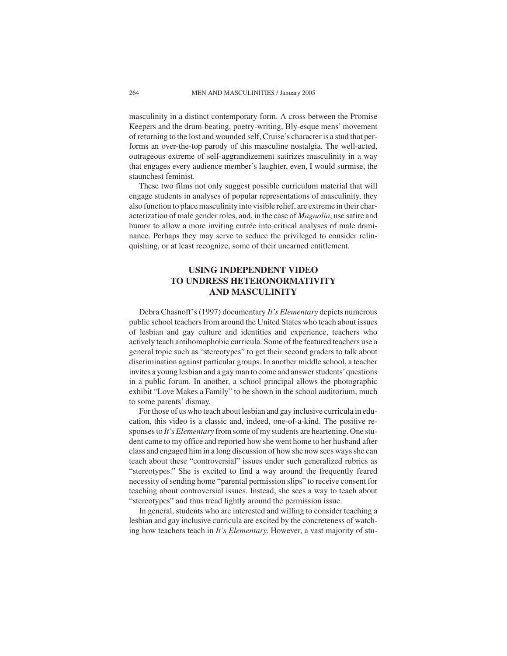masculinity in a distinct contemporary form. A cross between the Promise Keepers and the drum-beating, poetry-writing, Bly-esque mens' movement of returning to the lost and wounded self, Cruise's character is a stud that performs an over-the-top parody of this masculine nostalgia. The well-acted, outrageous extreme of self-aggrandizement satirizes masculinity in a way that engages every audience member's laughter, even, I would surmise, the staunchest feminist.

These two films not only suggest possible curriculum material that will engage students in analyses of popular representations of masculinity, they also function to place masculinity into visible relief, are extreme in their characterization of male gender roles, and, in the case of *Magnolia*, use satire and humor to allow a more inviting entrée into critical analyses of male dominance. Perhaps they may serve to seduce the privileged to consider relinquishing, or at least recognize, some of their unearned entitlement.

## **USING INDEPENDENT VIDEO TO UNDRESS HETERONORMATIVITY AND MASCULINITY**

Debra Chasnoff's (1997) documentary *It's Elementary* depicts numerous public school teachers from around the United States who teach about issues of lesbian and gay culture and identities and experience, teachers who actively teach antihomophobic curricula. Some of the featured teachers use a general topic such as "stereotypes" to get their second graders to talk about discrimination against particular groups. In another middle school, a teacher invites a young lesbian and a gay man to come and answer students'questions in a public forum. In another, a school principal allows the photographic exhibit "Love Makes a Family" to be shown in the school auditorium, much to some parents' dismay.

For those of us who teach about lesbian and gay inclusive curricula in education, this video is a classic and, indeed, one-of-a-kind. The positive responses to *It's Elementary* from some of my students are heartening. One student came to my office and reported how she went home to her husband after class and engaged him in a long discussion of how she now sees ways she can teach about these "controversial" issues under such generalized rubrics as "stereotypes." She is excited to find a way around the frequently feared necessity of sending home "parental permission slips" to receive consent for teaching about controversial issues. Instead, she sees a way to teach about "stereotypes" and thus tread lightly around the permission issue.

In general, students who are interested and willing to consider teaching a lesbian and gay inclusive curricula are excited by the concreteness of watching how teachers teach in *It's Elementary*. However, a vast majority of stu-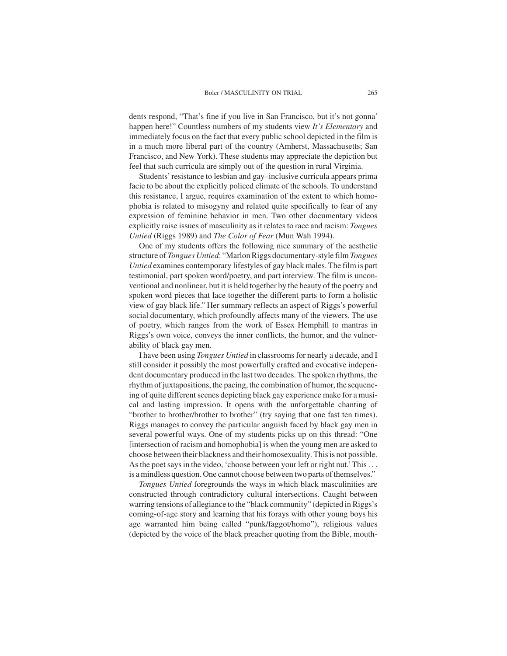dents respond, "That's fine if you live in San Francisco, but it's not gonna' happen here!" Countless numbers of my students view *It's Elementary* and immediately focus on the fact that every public school depicted in the film is in a much more liberal part of the country (Amherst, Massachusetts; San Francisco, and New York). These students may appreciate the depiction but feel that such curricula are simply out of the question in rural Virginia.

Students' resistance to lesbian and gay–inclusive curricula appears prima facie to be about the explicitly policed climate of the schools. To understand this resistance, I argue, requires examination of the extent to which homophobia is related to misogyny and related quite specifically to fear of any expression of feminine behavior in men. Two other documentary videos explicitly raise issues of masculinity as it relates to race and racism: *Tongues Untied* (Riggs 1989) and *The Color of Fear* (Mun Wah 1994).

One of my students offers the following nice summary of the aesthetic structure of *Tongues Untied*: "Marlon Riggs documentary-style film*Tongues Untied* examines contemporary lifestyles of gay black males. The film is part testimonial, part spoken word/poetry, and part interview. The film is unconventional and nonlinear, but it is held together by the beauty of the poetry and spoken word pieces that lace together the different parts to form a holistic view of gay black life." Her summary reflects an aspect of Riggs's powerful social documentary, which profoundly affects many of the viewers. The use of poetry, which ranges from the work of Essex Hemphill to mantras in Riggs's own voice, conveys the inner conflicts, the humor, and the vulnerability of black gay men.

I have been using *Tongues Untied* in classrooms for nearly a decade, and I still consider it possibly the most powerfully crafted and evocative independent documentary produced in the last two decades. The spoken rhythms, the rhythm of juxtapositions, the pacing, the combination of humor, the sequencing of quite different scenes depicting black gay experience make for a musical and lasting impression. It opens with the unforgettable chanting of "brother to brother/brother to brother" (try saying that one fast ten times). Riggs manages to convey the particular anguish faced by black gay men in several powerful ways. One of my students picks up on this thread: "One [intersection of racism and homophobia] is when the young men are asked to choose between their blackness and their homosexuality. This is not possible. As the poet says in the video, 'choose between your left or right nut.' This ... is a mindless question. One cannot choose between two parts of themselves."

*Tongues Untied* foregrounds the ways in which black masculinities are constructed through contradictory cultural intersections. Caught between warring tensions of allegiance to the "black community" (depicted in Riggs's coming-of-age story and learning that his forays with other young boys his age warranted him being called "punk/faggot/homo"), religious values (depicted by the voice of the black preacher quoting from the Bible, mouth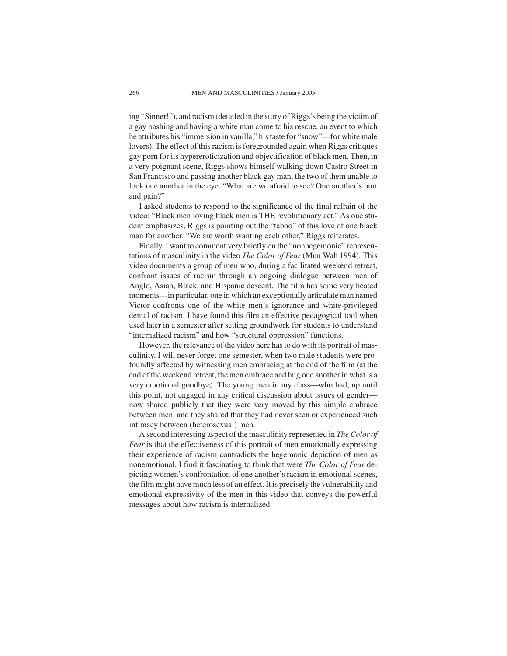ing "Sinner!"), and racism (detailed in the story of Riggs's being the victim of a gay bashing and having a white man come to his rescue, an event to which he attributes his "immersion in vanilla," his taste for "snow"—for white male lovers). The effect of this racism is foregrounded again when Riggs critiques gay porn for its hypereroticization and objectification of black men. Then, in a very poignant scene, Riggs shows himself walking down Castro Street in San Francisco and passing another black gay man, the two of them unable to look one another in the eye. "What are we afraid to see? One another's hurt and pain?"

I asked students to respond to the significance of the final refrain of the video: "Black men loving black men is THE revolutionary act." As one student emphasizes, Riggs is pointing out the "taboo" of this love of one black man for another. "We are worth wanting each other," Riggs reiterates.

Finally, I want to comment very briefly on the "nonhegemonic" representations of masculinity in the video *The Color of Fear* (Mun Wah 1994). This video documents a group of men who, during a facilitated weekend retreat, confront issues of racism through an ongoing dialogue between men of Anglo, Asian, Black, and Hispanic descent. The film has some very heated moments—in particular, one in which an exceptionally articulate man named Victor confronts one of the white men's ignorance and white-privileged denial of racism. I have found this film an effective pedagogical tool when used later in a semester after setting groundwork for students to understand "internalized racism" and how "structural oppression" functions.

However, the relevance of the video here has to do with its portrait of masculinity. I will never forget one semester, when two male students were profoundly affected by witnessing men embracing at the end of the film (at the end of the weekend retreat, the men embrace and hug one another in what is a very emotional goodbye). The young men in my class—who had, up until this point, not engaged in any critical discussion about issues of gender now shared publicly that they were very moved by this simple embrace between men, and they shared that they had never seen or experienced such intimacy between (heterosexual) men.

A second interesting aspect of the masculinity represented in *The Color of Fear* is that the effectiveness of this portrait of men emotionally expressing their experience of racism contradicts the hegemonic depiction of men as nonemotional. I find it fascinating to think that were *The Color of Fear* depicting women's confrontation of one another's racism in emotional scenes, the film might have much less of an effect. It is precisely the vulnerability and emotional expressivity of the men in this video that conveys the powerful messages about how racism is internalized.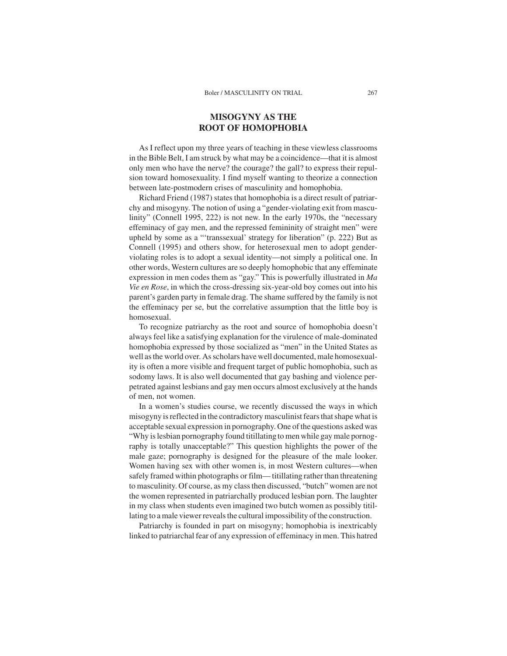### **MISOGYNY AS THE ROOT OF HOMOPHOBIA**

As I reflect upon my three years of teaching in these viewless classrooms in the Bible Belt, I am struck by what may be a coincidence—that it is almost only men who have the nerve? the courage? the gall? to express their repulsion toward homosexuality. I find myself wanting to theorize a connection between late-postmodern crises of masculinity and homophobia.

Richard Friend (1987) states that homophobia is a direct result of patriarchy and misogyny. The notion of using a "gender-violating exit from masculinity" (Connell 1995, 222) is not new. In the early 1970s, the "necessary effeminacy of gay men, and the repressed femininity of straight men" were upheld by some as a "'transsexual' strategy for liberation" (p. 222) But as Connell (1995) and others show, for heterosexual men to adopt genderviolating roles is to adopt a sexual identity—not simply a political one. In other words, Western cultures are so deeply homophobic that any effeminate expression in men codes them as "gay." This is powerfully illustrated in *Ma Vie en Rose*, in which the cross-dressing six-year-old boy comes out into his parent's garden party in female drag. The shame suffered by the family is not the effeminacy per se, but the correlative assumption that the little boy is homosexual.

To recognize patriarchy as the root and source of homophobia doesn't always feel like a satisfying explanation for the virulence of male-dominated homophobia expressed by those socialized as "men" in the United States as well as the world over. As scholars have well documented, male homosexuality is often a more visible and frequent target of public homophobia, such as sodomy laws. It is also well documented that gay bashing and violence perpetrated against lesbians and gay men occurs almost exclusively at the hands of men, not women.

In a women's studies course, we recently discussed the ways in which misogyny is reflected in the contradictory masculinist fears that shape what is acceptable sexual expression in pornography. One of the questions asked was "Why is lesbian pornography found titillating to men while gay male pornography is totally unacceptable?" This question highlights the power of the male gaze; pornography is designed for the pleasure of the male looker. Women having sex with other women is, in most Western cultures—when safely framed within photographs or film— titillating rather than threatening to masculinity. Of course, as my class then discussed, "butch" women are not the women represented in patriarchally produced lesbian porn. The laughter in my class when students even imagined two butch women as possibly titillating to a male viewer reveals the cultural impossibility of the construction.

Patriarchy is founded in part on misogyny; homophobia is inextricably linked to patriarchal fear of any expression of effeminacy in men. This hatred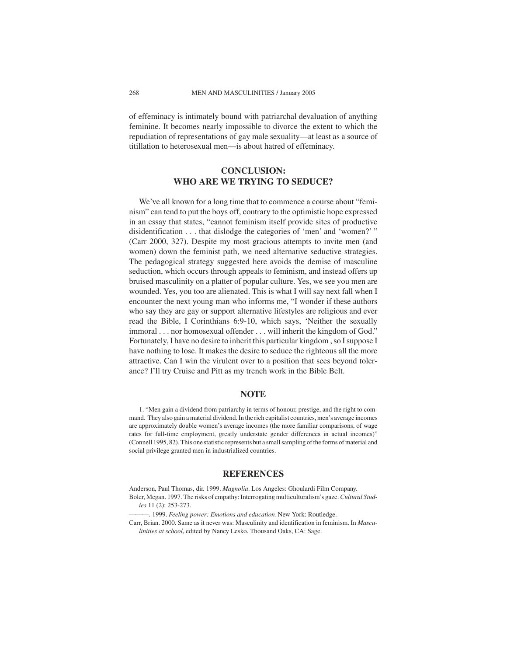of effeminacy is intimately bound with patriarchal devaluation of anything feminine. It becomes nearly impossible to divorce the extent to which the repudiation of representations of gay male sexuality—at least as a source of titillation to heterosexual men—is about hatred of effeminacy.

### **CONCLUSION: WHO ARE WE TRYING TO SEDUCE?**

We've all known for a long time that to commence a course about "feminism" can tend to put the boys off, contrary to the optimistic hope expressed in an essay that states, "cannot feminism itself provide sites of productive disidentification . . . that dislodge the categories of 'men' and 'women?' " (Carr 2000, 327). Despite my most gracious attempts to invite men (and women) down the feminist path, we need alternative seductive strategies. The pedagogical strategy suggested here avoids the demise of masculine seduction, which occurs through appeals to feminism, and instead offers up bruised masculinity on a platter of popular culture. Yes, we see you men are wounded. Yes, you too are alienated. This is what I will say next fall when I encounter the next young man who informs me, "I wonder if these authors who say they are gay or support alternative lifestyles are religious and ever read the Bible, I Corinthians 6:9-10, which says, 'Neither the sexually immoral . . . nor homosexual offender . . . will inherit the kingdom of God." Fortunately, I have no desire to inherit this particular kingdom , so I suppose I have nothing to lose. It makes the desire to seduce the righteous all the more attractive. Can I win the virulent over to a position that sees beyond tolerance? I'll try Cruise and Pitt as my trench work in the Bible Belt.

#### **NOTE**

1. "Men gain a dividend from patriarchy in terms of honour, prestige, and the right to command. They also gain a material dividend. In the rich capitalist countries, men's average incomes are approximately double women's average incomes (the more familiar comparisons, of wage rates for full-time employment, greatly understate gender differences in actual incomes)" (Connell 1995, 82). This one statistic represents but a small sampling of the forms of material and social privilege granted men in industrialized countries.

#### **REFERENCES**

Anderson, Paul Thomas, dir. 1999. *Magnolia*. Los Angeles: Ghoulardi Film Company. Boler, Megan. 1997. The risks of empathy: Interrogating multiculturalism's gaze. *Cultural Studies* 11 (2): 253-273.

-. 1999. Feeling power: Emotions and education. New York: Routledge.

Carr, Brian. 2000. Same as it never was: Masculinity and identification in feminism. In *Masculinities at school*, edited by Nancy Lesko. Thousand Oaks, CA: Sage.